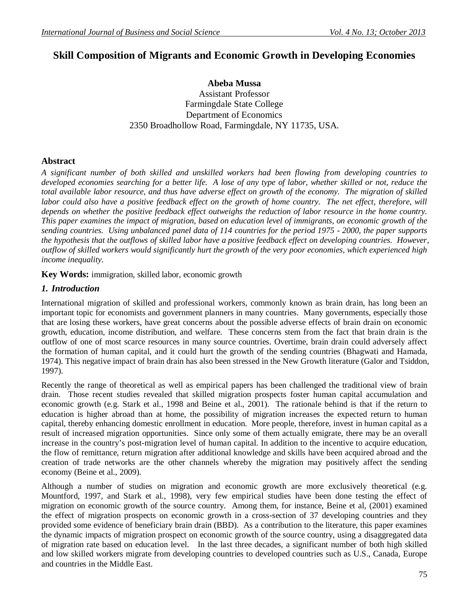# **Skill Composition of Migrants and Economic Growth in Developing Economies**

**Abeba Mussa** Assistant Professor Farmingdale State College Department of Economics 2350 Broadhollow Road, Farmingdale, NY 11735, USA.

## **Abstract**

*A significant number of both skilled and unskilled workers had been flowing from developing countries to developed economies searching for a better life. A lose of any type of labor, whether skilled or not, reduce the total available labor resource, and thus have adverse effect on growth of the economy. The migration of skilled labor could also have a positive feedback effect on the growth of home country. The net effect, therefore, will depends on whether the positive feedback effect outweighs the reduction of labor resource in the home country. This paper examines the impact of migration, based on education level of immigrants, on economic growth of the sending countries. Using unbalanced panel data of 114 countries for the period 1975 - 2000, the paper supports the hypothesis that the outflows of skilled labor have a positive feedback effect on developing countries. However, outflow of skilled workers would significantly hurt the growth of the very poor economies, which experienced high income inequality.*

**Key Words:** immigration, skilled labor, economic growth

## *1. Introduction*

International migration of skilled and professional workers, commonly known as brain drain, has long been an important topic for economists and government planners in many countries. Many governments, especially those that are losing these workers, have great concerns about the possible adverse effects of brain drain on economic growth, education, income distribution, and welfare. These concerns stem from the fact that brain drain is the outflow of one of most scarce resources in many source countries. Overtime, brain drain could adversely affect the formation of human capital, and it could hurt the growth of the sending countries (Bhagwati and Hamada, 1974). This negative impact of brain drain has also been stressed in the New Growth literature (Galor and Tsiddon, 1997).

Recently the range of theoretical as well as empirical papers has been challenged the traditional view of brain drain. Those recent studies revealed that skilled migration prospects foster human capital accumulation and economic growth (e.g. Stark et al., 1998 and Beine et al., 2001). The rationale behind is that if the return to education is higher abroad than at home, the possibility of migration increases the expected return to human capital, thereby enhancing domestic enrollment in education. More people, therefore, invest in human capital as a result of increased migration opportunities. Since only some of them actually emigrate, there may be an overall increase in the country's post-migration level of human capital. In addition to the incentive to acquire education, the flow of remittance, return migration after additional knowledge and skills have been acquired abroad and the creation of trade networks are the other channels whereby the migration may positively affect the sending economy (Beine et al., 2009).

Although a number of studies on migration and economic growth are more exclusively theoretical (e.g. Mountford, 1997, and Stark et al., 1998), very few empirical studies have been done testing the effect of migration on economic growth of the source country. Among them, for instance, Beine et al, (2001) examined the effect of migration prospects on economic growth in a cross-section of 37 developing countries and they provided some evidence of beneficiary brain drain (BBD). As a contribution to the literature, this paper examines the dynamic impacts of migration prospect on economic growth of the source country, using a disaggregated data of migration rate based on education level. In the last three decades, a significant number of both high skilled and low skilled workers migrate from developing countries to developed countries such as U.S., Canada, Europe and countries in the Middle East.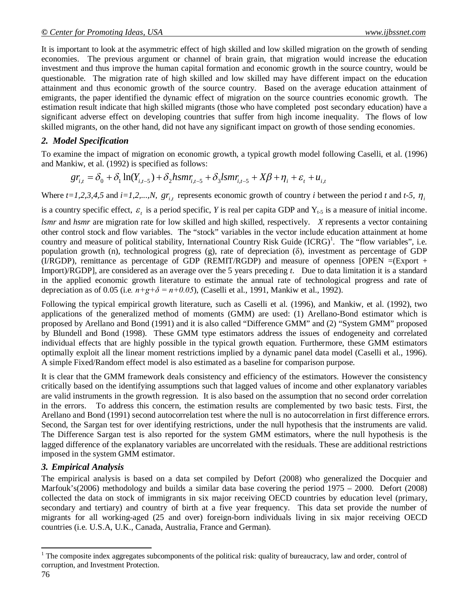It is important to look at the asymmetric effect of high skilled and low skilled migration on the growth of sending economies. The previous argument or channel of brain grain, that migration would increase the education investment and thus improve the human capital formation and economic growth in the source country, would be questionable. The migration rate of high skilled and low skilled may have different impact on the education attainment and thus economic growth of the source country. Based on the average education attainment of emigrants, the paper identified the dynamic effect of migration on the source countries economic growth. The estimation result indicate that high skilled migrants (those who have completed post secondary education) have a significant adverse effect on developing countries that suffer from high income inequality. The flows of low skilled migrants, on the other hand, did not have any significant impact on growth of those sending economies.

## *2. Model Specification*

To examine the impact of migration on economic growth, a typical growth model following Caselli, et al. (1996) and Mankiw, et al. (1992) is specified as follows:

$$
gr_{i,t} = \delta_0 + \delta_1 \ln(Y_{i,t-5}) + \delta_2 h s m r_{i,t-5} + \delta_3 l s m r_{i,t-5} + X \beta + \eta_i + \varepsilon_t + u_{i,t}
$$

Where  $t=1,2,3,4,5$  and  $i=1,2,...,N$ ,  $gr_{i,t}$  represents economic growth of country *i* between the period *t* and *t*-5,  $\eta_i$ 

is a country specific effect,  $\varepsilon$ <sub>t</sub> is a period specific, *Y* is real per capita GDP and  $Y$ <sub>t-5</sub> is a measure of initial income.

*lsmr* and *hsmr* are migration rate for low skilled and high skilled, respectively. *X* represents a vector containing other control stock and flow variables. The "stock" variables in the vector include education attainment at home country and measure of political stability, International Country Risk Guide (ICRG)<sup>1</sup>. The "flow variables", i.e. population growth (n), technological progress (g), rate of depreciation ( $\delta$ ), investment as percentage of GDP (I/RGDP), remittance as percentage of GDP (REMIT/RGDP) and measure of openness [OPEN =(Export + Import)/RGDP], are considered as an average over the 5 years preceding *t*. Due to data limitation it is a standard in the applied economic growth literature to estimate the annual rate of technological progress and rate of depreciation as of 0.05 (i.e.  $n+g+\delta = n+0.05$ ), (Caselli et al., 1991, Mankiw et al., 1992).

Following the typical empirical growth literature, such as Caselli et al. (1996), and Mankiw, et al. (1992), two applications of the generalized method of moments (GMM) are used: (1) Arellano-Bond estimator which is proposed by Arellano and Bond (1991) and it is also called "Difference GMM" and (2) "System GMM" proposed by Blundell and Bond (1998). These GMM type estimators address the issues of endogeneity and correlated individual effects that are highly possible in the typical growth equation. Furthermore, these GMM estimators optimally exploit all the linear moment restrictions implied by a dynamic panel data model (Caselli et al., 1996). A simple Fixed/Random effect model is also estimated as a baseline for comparison purpose.

It is clear that the GMM framework deals consistency and efficiency of the estimators. However the consistency critically based on the identifying assumptions such that lagged values of income and other explanatory variables are valid instruments in the growth regression. It is also based on the assumption that no second order correlation in the errors. To address this concern, the estimation results are complemented by two basic tests. First, the Arellano and Bond (1991) second autocorrelation test where the null is no autocorrelation in first difference errors. Second, the Sargan test for over identifying restrictions, under the null hypothesis that the instruments are valid. The Difference Sargan test is also reported for the system GMM estimators, where the null hypothesis is the lagged difference of the explanatory variables are uncorrelated with the residuals. These are additional restrictions imposed in the system GMM estimator.

## *3. Empirical Analysis*

The empirical analysis is based on a data set compiled by Defort (2008) who generalized the Docquier and Marfouk's(2006) methodology and builds a similar data base covering the period 1975 – 2000. Defort (2008) collected the data on stock of immigrants in six major receiving OECD countries by education level (primary, secondary and tertiary) and country of birth at a five year frequency. This data set provide the number of migrants for all working-aged (25 and over) foreign-born individuals living in six major receiving OECD countries (i.e. U.S.A, U.K., Canada, Australia, France and German).

 $\overline{a}$ 

<sup>&</sup>lt;sup>1</sup> The composite index aggregates subcomponents of the political risk: quality of bureaucracy, law and order, control of corruption, and Investment Protection.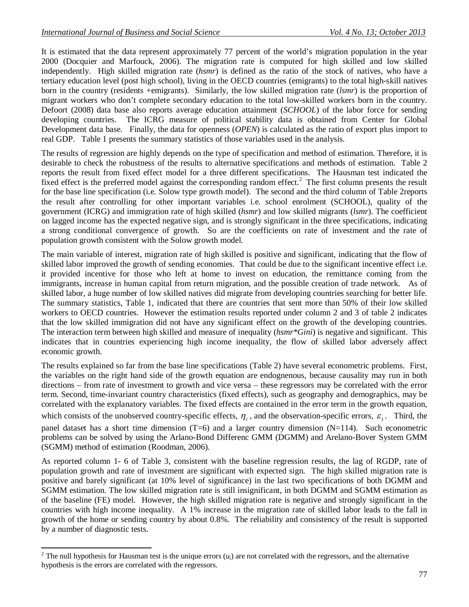It is estimated that the data represent approximately 77 percent of the world's migration population in the year 2000 (Docquier and Marfouck, 2006). The migration rate is computed for high skilled and low skilled independently. High skilled migration rate (*hsmr*) is defined as the ratio of the stock of natives, who have a tertiary education level (post high school), living in the OECD countries (emigrants) to the total high-skill natives born in the country (residents +emigrants). Similarly, the low skilled migration rate (*lsmr*) is the proportion of migrant workers who don't complete secondary education to the total low-skilled workers born in the country. Defoort (2008) data base also reports average education attainment (*SCHOOL*) of the labor force for sending developing countries. The ICRG measure of political stability data is obtained from Center for Global Development data base. Finally, the data for openness (*OPEN*) is calculated as the ratio of export plus import to real GDP. Table 1 presents the summary statistics of those variables used in the analysis.

The results of regression are highly depends on the type of specification and method of estimation. Therefore, it is desirable to check the robustness of the results to alternative specifications and methods of estimation. Table 2 reports the result from fixed effect model for a three different specifications. The Hausman test indicated the fixed effect is the preferred model against the corresponding random effect.<sup>2</sup> The first column presents the result for the base line specification (i.e. Solow type growth model). The second and the third column of Table 2reports the result after controlling for other important variables i.e. school enrolment (SCHOOL), quality of the government (ICRG) and immigration rate of high skilled (*hsmr*) and low skilled migrants (*lsmr*). The coefficient on lagged income has the expected negative sign, and is strongly significant in the three specifications, indicating a strong conditional convergence of growth. So are the coefficients on rate of investment and the rate of population growth consistent with the Solow growth model.

The main variable of interest, migration rate of high skilled is positive and significant, indicating that the flow of skilled labor improved the growth of sending economies. That could be due to the significant incentive effect i.e. it provided incentive for those who left at home to invest on education, the remittance coming from the immigrants, increase in human capital from return migration, and the possible creation of trade network. As of skilled labor, a huge number of low skilled natives did migrate from developing countries searching for better life. The summary statistics, Table 1, indicated that there are countries that sent more than 50% of their low skilled workers to OECD countries. However the estimation results reported under column 2 and 3 of table 2 indicates that the low skilled immigration did not have any significant effect on the growth of the developing countries. The interaction term between high skilled and measure of inequality (*hsmr\*Gini*) is negative and significant. This indicates that in countries experiencing high income inequality, the flow of skilled labor adversely affect economic growth.

The results explained so far from the base line specifications (Table 2) have several econometric problems. First, the variables on the right hand side of the growth equation are endognenous, because causality may run in both directions – from rate of investment to growth and vice versa – these regressors may be correlated with the error term. Second, time-invariant country characteristics (fixed effects), such as geography and demographics, may be correlated with the explanatory variables. The fixed effects are contained in the error term in the growth equation, which consists of the unobserved country-specific effects,  $\eta_i$ , and the observation-specific errors,  $\varepsilon_i$ . Third, the panel dataset has a short time dimension  $(T=6)$  and a larger country dimension  $(N=114)$ . Such econometric problems can be solved by using the Arlano-Bond Differenc GMM (DGMM) and Arelano-Bover System GMM (SGMM) method of estimation (Roodman, 2006).

As reported column 1- 6 of Table 3, consistent with the baseline regression results, the lag of RGDP, rate of population growth and rate of investment are significant with expected sign. The high skilled migration rate is positive and barely significant (at 10% level of significance) in the last two specifications of both DGMM and SGMM estimation. The low skilled migration rate is still insignificant, in both DGMM and SGMM estimation as of the baseline (FE) model. However, the high skilled migration rate is negative and strongly significant in the countries with high income inequality. A 1% increase in the migration rate of skilled labor leads to the fall in growth of the home or sending country by about 0.8%. The reliability and consistency of the result is supported by a number of diagnostic tests.

 $\overline{a}$ 

 $2^2$  The null hypothesis for Hausman test is the unique errors  $(u_i)$  are not correlated with the regressors, and the alternative hypothesis is the errors are correlated with the regressors.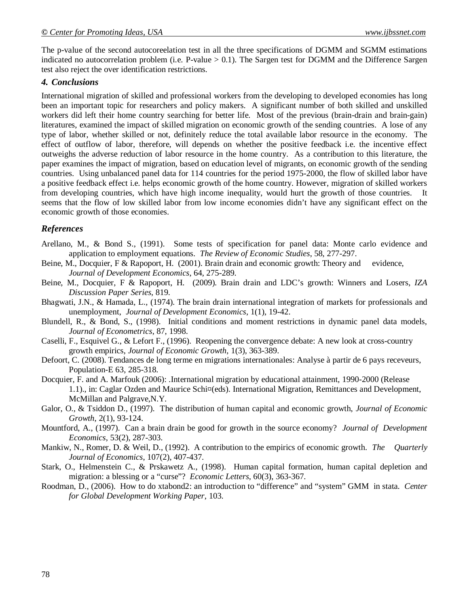The p-value of the second autocoreelation test in all the three specifications of DGMM and SGMM estimations indicated no autocorrelation problem (i.e. P-value  $> 0.1$ ). The Sargen test for DGMM and the Difference Sargen test also reject the over identification restrictions.

#### *4. Conclusions*

International migration of skilled and professional workers from the developing to developed economies has long been an important topic for researchers and policy makers. A significant number of both skilled and unskilled workers did left their home country searching for better life. Most of the previous (brain-drain and brain-gain) literatures, examined the impact of skilled migration on economic growth of the sending countries. A lose of any type of labor, whether skilled or not, definitely reduce the total available labor resource in the economy. The effect of outflow of labor, therefore, will depends on whether the positive feedback i.e. the incentive effect outweighs the adverse reduction of labor resource in the home country. As a contribution to this literature, the paper examines the impact of migration, based on education level of migrants, on economic growth of the sending countries. Using unbalanced panel data for 114 countries for the period 1975-2000, the flow of skilled labor have a positive feedback effect i.e. helps economic growth of the home country. However, migration of skilled workers from developing countries, which have high income inequality, would hurt the growth of those countries. It seems that the flow of low skilled labor from low income economies didn't have any significant effect on the economic growth of those economies.

### *References*

- Arellano, M., & Bond S., (1991). Some tests of specification for panel data: Monte carlo evidence and application to employment equations. *The Review of Economic Studies*, 58, 277-297.
- Beine, M., Docquier, F & Rapoport, H. (2001). Brain drain and economic growth: Theory and evidence, *Journal of Development Economics*, 64, 275-289.
- Beine, M., Docquier, F & Rapoport, H. (2009). Brain drain and LDC's growth: Winners and Losers, *IZA Discussion Paper Series*, 819.
- Bhagwati, J.N., & Hamada, L., (1974). The brain drain international integration of markets for professionals and unemployment, *Journal of Development Economics*, 1(1), 19-42.
- Blundell, R., & Bond, S., (1998). Initial conditions and moment restrictions in dynamic panel data models, *Journal of Econometrics*, 87, 1998.
- Caselli, F., Esquivel G., & Lefort F., (1996). Reopening the convergence debate: A new look at cross-country growth empirics, *Journal of Economic Growth*, 1(3), 363-389.
- Defoort, C. (2008). Tendances de long terme en migrations internationales: Analyse à partir de 6 pays receveurs, Population-E 63, 285-318.
- Docquier, F. and A. Marfouk (2006): .International migration by educational attainment, 1990-2000 (Release 1.1)., in: Caglar Ozden and Maurice Schi¤(eds). International Migration, Remittances and Development, McMillan and Palgrave,N.Y.
- Galor, O., & Tsiddon D., (1997). The distribution of human capital and economic growth, *Journal of Economic Growth*, 2(1), 93-124.
- Mountford, A., (1997). Can a brain drain be good for growth in the source economy? *Journal of Development Economics*, 53(2), 287-303.
- Mankiw, N., Romer, D. & Weil, D., (1992). A contribution to the empirics of economic growth. *The Quarterly Journal of Economics*, 107(2), 407-437.
- Stark, O., Helmenstein C., & Prskawetz A., (1998). Human capital formation, human capital depletion and migration: a blessing or a "curse"? *Economic Letters*, 60(3), 363-367.
- Roodman, D., (2006). How to do xtabond2: an introduction to "difference" and "system" GMM in stata. *Center for Global Development Working Paper*, 103.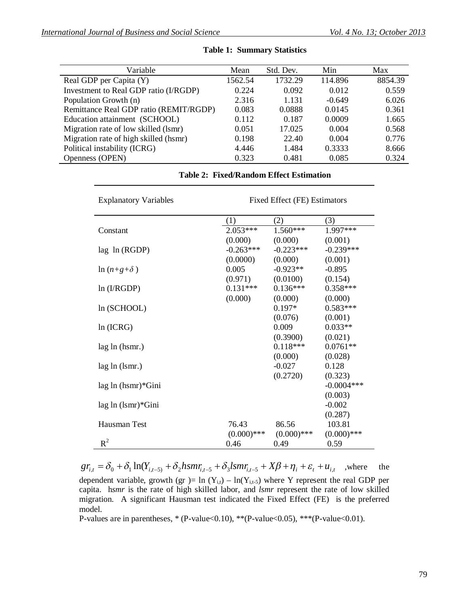| Variable                               | Mean    | Std. Dev. | Min      | Max     |
|----------------------------------------|---------|-----------|----------|---------|
| Real GDP per Capita (Y)                | 1562.54 | 1732.29   | 114.896  | 8854.39 |
| Investment to Real GDP ratio (I/RGDP)  | 0.224   | 0.092     | 0.012    | 0.559   |
| Population Growth (n)                  | 2.316   | 1.131     | $-0.649$ | 6.026   |
| Remittance Real GDP ratio (REMIT/RGDP) | 0.083   | 0.0888    | 0.0145   | 0.361   |
| Education attainment (SCHOOL)          | 0.112   | 0.187     | 0.0009   | 1.665   |
| Migration rate of low skilled (lsmr)   | 0.051   | 17.025    | 0.004    | 0.568   |
| Migration rate of high skilled (hsmr)  | 0.198   | 22.40     | 0.004    | 0.776   |
| Political instability (ICRG)           | 4.446   | 1.484     | 0.3333   | 8.666   |
| Openness (OPEN)                        | 0.323   | 0.481     | 0.085    | 0.324   |

#### **Table 1: Summary Statistics**

| <b>Explanatory Variables</b> | Fixed Effect (FE) Estimators |               |               |  |
|------------------------------|------------------------------|---------------|---------------|--|
|                              | (1)                          | (2)           | (3)           |  |
| Constant                     | $2.053***$                   | $1.560***$    | 1.997***      |  |
|                              | (0.000)                      | (0.000)       | (0.001)       |  |
| $lag \ln (RGDP)$             | $-0.263***$                  | $-0.223***$   | $-0.239***$   |  |
|                              | (0.0000)                     | (0.000)       | (0.001)       |  |
| $ln (n+g+\delta)$            | 0.005                        | $-0.923**$    | $-0.895$      |  |
|                              | (0.971)                      | (0.0100)      | (0.154)       |  |
| ln (I/RGDP)                  | $0.131***$                   | $0.136***$    | $0.358***$    |  |
|                              | (0.000)                      | (0.000)       | (0.000)       |  |
| ln (SCHOOL)                  |                              | $0.197*$      | $0.583***$    |  |
|                              |                              | (0.076)       | (0.001)       |  |
| ln (ICRG)                    |                              | 0.009         | $0.033**$     |  |
|                              |                              | (0.3900)      | (0.021)       |  |
| lag ln (hsmr.)               |                              | $0.118***$    | $0.0761**$    |  |
|                              |                              | (0.000)       | (0.028)       |  |
| lag ln (lsm.)                |                              | $-0.027$      | 0.128         |  |
|                              |                              | (0.2720)      | (0.323)       |  |
| lag ln (hsmr)*Gini           |                              |               | $-0.0004***$  |  |
|                              |                              |               | (0.003)       |  |
| $lag \ln (lsmr) * Gini$      |                              |               | $-0.002$      |  |
|                              |                              |               | (0.287)       |  |
| Hausman Test                 | 76.43                        | 86.56         | 103.81        |  |
|                              | $(0.000)$ ***                | $(0.000)$ *** | $(0.000)$ *** |  |
| $R^2$                        | 0.46                         | 0.49          | 0.59          |  |

**Table 2: Fixed/Random Effect Estimation**

 $gr_{i,t} = \delta_0 + \delta_1 \ln(Y_{i,t-5} + \delta_2 h s m r_{i,t-5} + \delta_3 l s m r_{i,t-5} + X \beta + \eta_i + \varepsilon_t + u_{i,t}$ , where the dependent variable, growth (gr )= ln ( $Y_{i,t}$ ) – ln( $Y_{i,t-5}$ ) where Y represent the real GDP per capita. h*smr* is the rate of high skilled labor, and *lsmr* represent the rate of low skilled migration. A significant Hausman test indicated the Fixed Effect (FE) is the preferred model.

P-values are in parentheses,  $*(P-value<0.10)$ ,  $**(P-value<0.05)$ ,  $**(P-value<0.01)$ .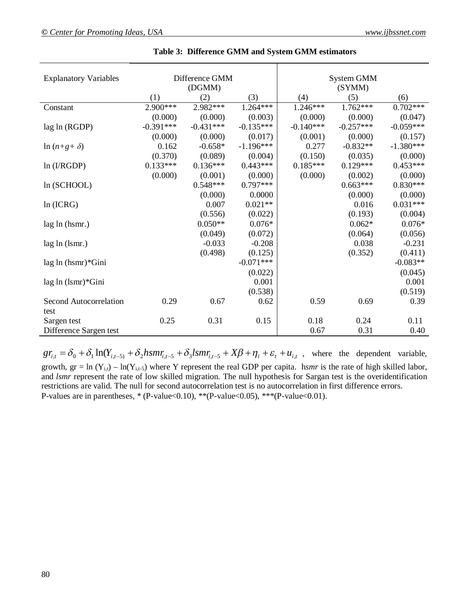| <b>Explanatory Variables</b> |             | Difference GMM<br>(DGMM) |             |             | System GMM<br>(SYMM) |             |
|------------------------------|-------------|--------------------------|-------------|-------------|----------------------|-------------|
|                              | (1)         | (2)                      | (3)         | (4)         | (5)                  | (6)         |
| Constant                     | 2.900***    | 2.982***                 | 1.264***    | $1.246***$  | $1.762***$           | $0.702***$  |
|                              | (0.000)     | (0.000)                  | (0.003)     | (0.000)     | (0.000)              | (0.047)     |
| lag ln (RGDP)                | $-0.391***$ | $-0.431***$              | $-0.135***$ | $-0.140***$ | $-0.257***$          | $-0.059***$ |
|                              | (0.000)     | (0.000)                  | (0.017)     | (0.001)     | (0.000)              | (0.157)     |
| $ln (n+g+\delta)$            | 0.162       | $-0.658*$                | $-1.196***$ | 0.277       | $-0.832**$           | $-1.380***$ |
|                              | (0.370)     | (0.089)                  | (0.004)     | (0.150)     | (0.035)              | (0.000)     |
| ln (I/RGDP)                  | $0.133***$  | $0.136***$               | $0.443***$  | $0.185***$  | $0.129***$           | $0.453***$  |
|                              | (0.000)     | (0.001)                  | (0.000)     | (0.000)     | (0.002)              | (0.000)     |
| ln (SCHOOL)                  |             | $0.548***$               | $0.797***$  |             | $0.663***$           | $0.830***$  |
|                              |             | (0.000)                  | 0.0000      |             | (0.000)              | (0.000)     |
| ln (ICRG)                    |             | 0.007                    | $0.021**$   |             | 0.016                | $0.031***$  |
|                              |             | (0.556)                  | (0.022)     |             | (0.193)              | (0.004)     |
| lag ln (hsmr.)               |             | $0.050**$                | $0.076*$    |             | $0.062*$             | $0.076*$    |
|                              |             | (0.049)                  | (0.072)     |             | (0.064)              | (0.056)     |
| lag ln (lsm.)                |             | $-0.033$                 | $-0.208$    |             | 0.038                | $-0.231$    |
|                              |             | (0.498)                  | (0.125)     |             | (0.352)              | (0.411)     |
| lag ln (hsmr)*Gini           |             |                          | $-0.071***$ |             |                      | $-0.083**$  |
|                              |             |                          | (0.022)     |             |                      | (0.045)     |
| $lag \ln (lsmr) * Gini$      |             |                          | 0.001       |             |                      | 0.001       |
|                              |             |                          | (0.538)     |             |                      | (0.519)     |
| Second Autocorrelation       | 0.29        | 0.67                     | 0.62        | 0.59        | 0.69                 | 0.39        |
| test                         |             |                          |             |             |                      |             |
| Sargen test                  | 0.25        | 0.31                     | 0.15        | 0.18        | 0.24                 | 0.11        |
| Difference Sargen test       |             |                          |             | 0.67        | 0.31                 | 0.40        |

**Table 3: Difference GMM and System GMM estimators**

 $gr_{i,t} = \delta_0 + \delta_1 \ln(Y_{i,t-5)} + \delta_2 h s m r_{i,t-5} + \delta_3 l s m r_{i,t-5} + X \beta + \eta_i + \varepsilon_t + u_{i,t}$ , where the dependent variable, growth,  $gr = ln(Y_{i,t}) - ln(Y_{i,t-5})$  where Y represent the real GDP per capita. *hsmr* is the rate of high skilled labor, and *lsmr* represent the rate of low skilled migration. The null hypothesis for Sargan test is the overidentification restrictions are valid. The null for second autocorrelation test is no autocorrelation in first difference errors. P-values are in parentheses,  $*(P-value<0.10)$ ,  $**$ (P-value $<0.05)$ ,  $**$ (P-value $<0.01$ ).